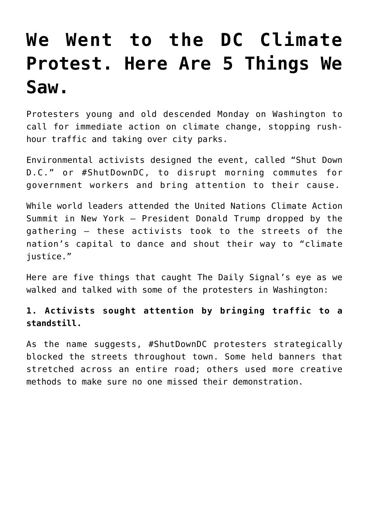# **[We Went to the DC Climate](https://intellectualtakeout.org/2019/09/we-went-to-the-dc-climate-protest-here-are-5-things-we-saw/) [Protest. Here Are 5 Things We](https://intellectualtakeout.org/2019/09/we-went-to-the-dc-climate-protest-here-are-5-things-we-saw/) [Saw.](https://intellectualtakeout.org/2019/09/we-went-to-the-dc-climate-protest-here-are-5-things-we-saw/)**

Protesters young and old descended Monday on Washington to call for immediate action on climate change, stopping rushhour traffic and taking over city parks.

Environmental activists designed the event, called "Shut Down D.C." or #ShutDownDC, to disrupt morning commutes for government workers and bring attention to their cause.

While world leaders attended the United Nations Climate Action Summit in New York – President Donald Trump dropped by the gathering – these activists took to the streets of the nation's capital to dance and shout their way to "climate justice."

Here are five things that caught The Daily Signal's eye as we walked and talked with some of the protesters in Washington:

## **1. Activists sought attention by bringing traffic to a standstill.**

As the name suggests, #ShutDownDC protesters strategically blocked the streets throughout town. Some held banners that stretched across an entire road; others used more creative methods to make sure no one missed their demonstration.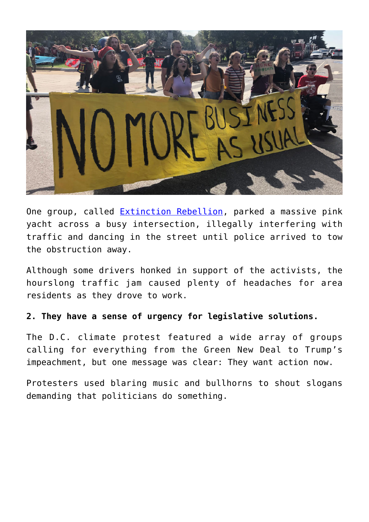

One group, called **Extinction Rebellion**, parked a massive pink yacht across a busy intersection, illegally interfering with traffic and dancing in the street until police arrived to tow the obstruction away.

Although some drivers honked in support of the activists, the hourslong traffic jam caused plenty of headaches for area residents as they drove to work.

## **2. They have a sense of urgency for legislative solutions.**

The D.C. climate protest featured a wide array of groups calling for everything from the Green New Deal to Trump's impeachment, but one message was clear: They want action now.

Protesters used blaring music and bullhorns to shout slogans demanding that politicians do something.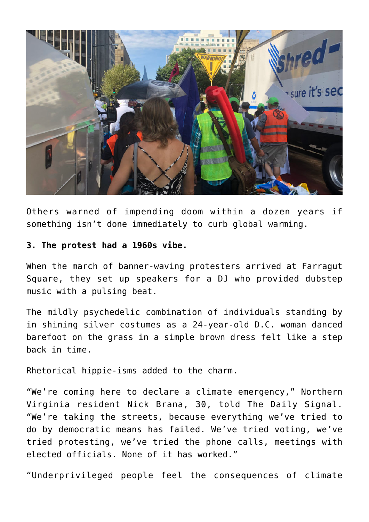

Others warned of impending doom within a dozen years if something isn't done immediately to curb global warming.

#### **3. The protest had a 1960s vibe.**

When the march of banner-waving protesters arrived at Farragut Square, they set up speakers for a DJ who provided dubstep music with a pulsing beat.

The mildly psychedelic combination of individuals standing by in shining silver costumes as a 24-year-old D.C. woman danced barefoot on the grass in a simple brown dress felt like a step back in time.

Rhetorical hippie-isms added to the charm.

"We're coming here to declare a climate emergency," Northern Virginia resident Nick Brana, 30, told The Daily Signal. "We're taking the streets, because everything we've tried to do by democratic means has failed. We've tried voting, we've tried protesting, we've tried the phone calls, meetings with elected officials. None of it has worked."

"Underprivileged people feel the consequences of climate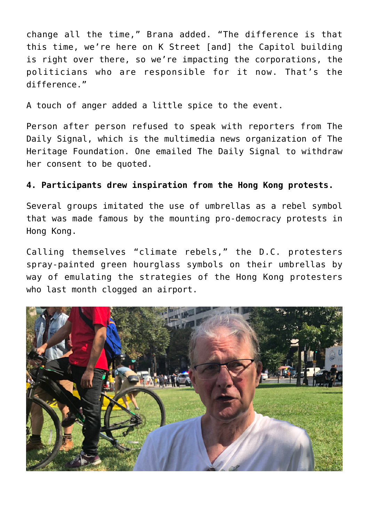change all the time," Brana added. "The difference is that this time, we're here on K Street [and] the Capitol building is right over there, so we're impacting the corporations, the politicians who are responsible for it now. That's the difference."

A touch of anger added a little spice to the event.

Person after person refused to speak with reporters from The Daily Signal, which is the multimedia news organization of The Heritage Foundation. One emailed The Daily Signal to withdraw her consent to be quoted.

## **4. Participants drew inspiration from the Hong Kong protests.**

Several groups imitated the use of umbrellas as a rebel symbol that was made famous by the mounting pro-democracy protests in Hong Kong.

Calling themselves "climate rebels," the D.C. protesters spray-painted green hourglass symbols on their umbrellas by way of emulating the strategies of the Hong Kong protesters who last month clogged an airport.